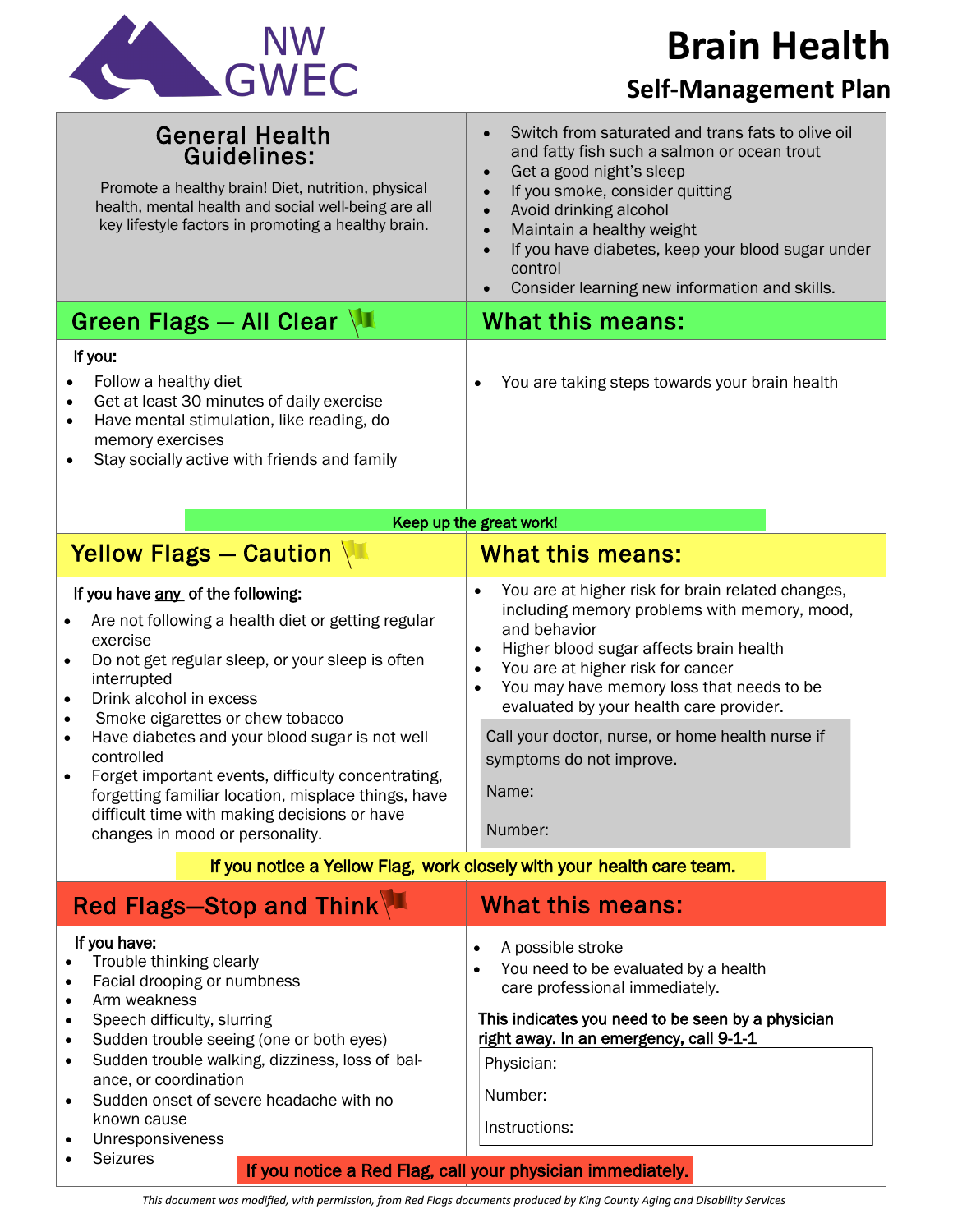| <b>NW</b>   |
|-------------|
| <b>GWEC</b> |

## **Brain Health**

## **Self-Management Plan**

| <b>General Health</b><br>Guidelines:<br>Promote a healthy brain! Diet, nutrition, physical<br>health, mental health and social well-being are all<br>key lifestyle factors in promoting a healthy brain.                                                                                                                                                                                                                                                                                                                                                               | Switch from saturated and trans fats to olive oil<br>$\bullet$<br>and fatty fish such a salmon or ocean trout<br>Get a good night's sleep<br>$\bullet$<br>If you smoke, consider quitting<br>Avoid drinking alcohol<br>$\bullet$<br>Maintain a healthy weight<br>$\bullet$<br>If you have diabetes, keep your blood sugar under<br>$\bullet$<br>control<br>Consider learning new information and skills.                                                                                                                   |
|------------------------------------------------------------------------------------------------------------------------------------------------------------------------------------------------------------------------------------------------------------------------------------------------------------------------------------------------------------------------------------------------------------------------------------------------------------------------------------------------------------------------------------------------------------------------|----------------------------------------------------------------------------------------------------------------------------------------------------------------------------------------------------------------------------------------------------------------------------------------------------------------------------------------------------------------------------------------------------------------------------------------------------------------------------------------------------------------------------|
| Green Flags - All Clear                                                                                                                                                                                                                                                                                                                                                                                                                                                                                                                                                | What this means:                                                                                                                                                                                                                                                                                                                                                                                                                                                                                                           |
| If you:<br>Follow a healthy diet<br>Get at least 30 minutes of daily exercise<br>Have mental stimulation, like reading, do<br>memory exercises<br>Stay socially active with friends and family                                                                                                                                                                                                                                                                                                                                                                         | You are taking steps towards your brain health                                                                                                                                                                                                                                                                                                                                                                                                                                                                             |
| Keep up the great work!                                                                                                                                                                                                                                                                                                                                                                                                                                                                                                                                                |                                                                                                                                                                                                                                                                                                                                                                                                                                                                                                                            |
| Yellow Flags - Caution                                                                                                                                                                                                                                                                                                                                                                                                                                                                                                                                                 | <b>What this means:</b>                                                                                                                                                                                                                                                                                                                                                                                                                                                                                                    |
| If you have any of the following:<br>Are not following a health diet or getting regular<br>exercise<br>Do not get regular sleep, or your sleep is often<br>$\bullet$<br>interrupted<br>Drink alcohol in excess<br>$\bullet$<br>Smoke cigarettes or chew tobacco<br>$\bullet$<br>Have diabetes and your blood sugar is not well<br>$\bullet$<br>controlled<br>Forget important events, difficulty concentrating,<br>$\bullet$<br>forgetting familiar location, misplace things, have<br>difficult time with making decisions or have<br>changes in mood or personality. | You are at higher risk for brain related changes,<br>$\bullet$<br>including memory problems with memory, mood,<br>and behavior<br>Higher blood sugar affects brain health<br>$\bullet$<br>You are at higher risk for cancer<br>$\bullet$<br>You may have memory loss that needs to be<br>$\bullet$<br>evaluated by your health care provider.<br>Call your doctor, nurse, or home health nurse if<br>symptoms do not improve.<br>Name:<br>Number:<br>If you notice a Yellow Flag, work closely with your health care team. |
| Red Flags-Stop and Think<br><b>What this means:</b>                                                                                                                                                                                                                                                                                                                                                                                                                                                                                                                    |                                                                                                                                                                                                                                                                                                                                                                                                                                                                                                                            |
| If you have:<br>Trouble thinking clearly<br>Facial drooping or numbness<br>Arm weakness<br>$\bullet$<br>Speech difficulty, slurring<br>$\bullet$<br>Sudden trouble seeing (one or both eyes)<br>$\bullet$<br>Sudden trouble walking, dizziness, loss of bal-<br>$\bullet$<br>ance, or coordination<br>Sudden onset of severe headache with no<br>$\bullet$<br>known cause<br>Unresponsiveness                                                                                                                                                                          | A possible stroke<br>$\bullet$<br>You need to be evaluated by a health<br>care professional immediately.<br>This indicates you need to be seen by a physician<br>right away. In an emergency, call 9-1-1<br>Physician:<br>Number:<br>Instructions:                                                                                                                                                                                                                                                                         |
| <b>Seizures</b>                                                                                                                                                                                                                                                                                                                                                                                                                                                                                                                                                        | If you notice a Red Flag, call your physician immediately.                                                                                                                                                                                                                                                                                                                                                                                                                                                                 |

*This document was modified, with permission, from Red Flags documents produced by King County Aging and Disability Services*